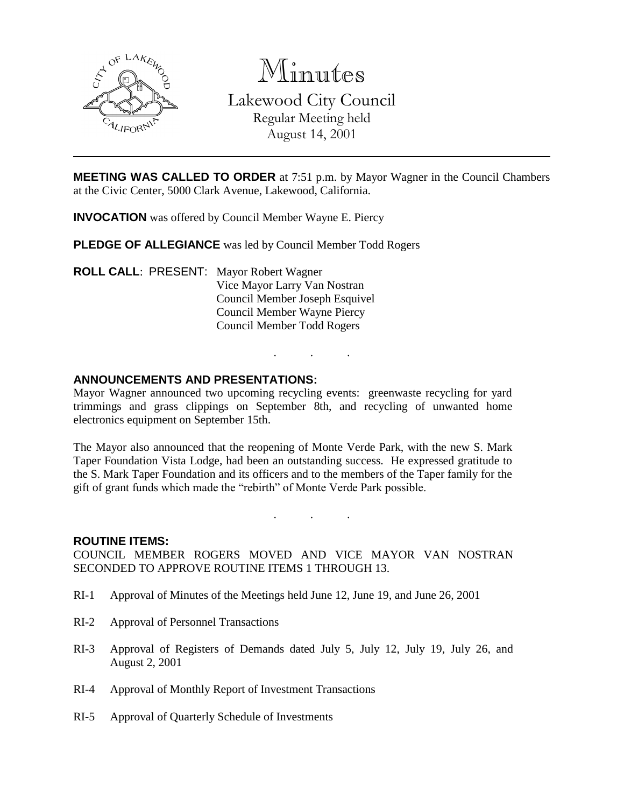

Minutes Lakewood City Council Regular Meeting held August 14, 2001

**MEETING WAS CALLED TO ORDER** at 7:51 p.m. by Mayor Wagner in the Council Chambers at the Civic Center, 5000 Clark Avenue, Lakewood, California.

**INVOCATION** was offered by Council Member Wayne E. Piercy

**PLEDGE OF ALLEGIANCE** was led by Council Member Todd Rogers

**ROLL CALL**: PRESENT: Mayor Robert Wagner Vice Mayor Larry Van Nostran Council Member Joseph Esquivel Council Member Wayne Piercy Council Member Todd Rogers

#### **ANNOUNCEMENTS AND PRESENTATIONS:**

Mayor Wagner announced two upcoming recycling events: greenwaste recycling for yard trimmings and grass clippings on September 8th, and recycling of unwanted home electronics equipment on September 15th.

. . .

The Mayor also announced that the reopening of Monte Verde Park, with the new S. Mark Taper Foundation Vista Lodge, had been an outstanding success. He expressed gratitude to the S. Mark Taper Foundation and its officers and to the members of the Taper family for the gift of grant funds which made the "rebirth" of Monte Verde Park possible.

. . .

#### **ROUTINE ITEMS:**

COUNCIL MEMBER ROGERS MOVED AND VICE MAYOR VAN NOSTRAN SECONDED TO APPROVE ROUTINE ITEMS 1 THROUGH 13.

- RI-1 Approval of Minutes of the Meetings held June 12, June 19, and June 26, 2001
- RI-2 Approval of Personnel Transactions
- RI-3 Approval of Registers of Demands dated July 5, July 12, July 19, July 26, and August 2, 2001
- RI-4 Approval of Monthly Report of Investment Transactions
- RI-5 Approval of Quarterly Schedule of Investments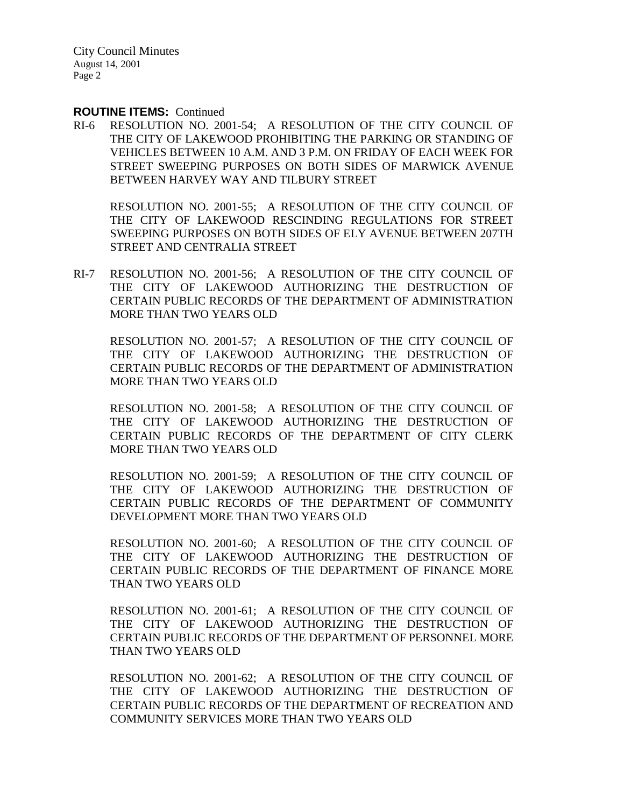#### **ROUTINE ITEMS:** Continued

RI-6 RESOLUTION NO. 2001-54; A RESOLUTION OF THE CITY COUNCIL OF THE CITY OF LAKEWOOD PROHIBITING THE PARKING OR STANDING OF VEHICLES BETWEEN 10 A.M. AND 3 P.M. ON FRIDAY OF EACH WEEK FOR STREET SWEEPING PURPOSES ON BOTH SIDES OF MARWICK AVENUE BETWEEN HARVEY WAY AND TILBURY STREET

RESOLUTION NO. 2001-55; A RESOLUTION OF THE CITY COUNCIL OF THE CITY OF LAKEWOOD RESCINDING REGULATIONS FOR STREET SWEEPING PURPOSES ON BOTH SIDES OF ELY AVENUE BETWEEN 207TH STREET AND CENTRALIA STREET

RI-7 RESOLUTION NO. 2001-56; A RESOLUTION OF THE CITY COUNCIL OF THE CITY OF LAKEWOOD AUTHORIZING THE DESTRUCTION OF CERTAIN PUBLIC RECORDS OF THE DEPARTMENT OF ADMINISTRATION MORE THAN TWO YEARS OLD

RESOLUTION NO. 2001-57; A RESOLUTION OF THE CITY COUNCIL OF THE CITY OF LAKEWOOD AUTHORIZING THE DESTRUCTION OF CERTAIN PUBLIC RECORDS OF THE DEPARTMENT OF ADMINISTRATION MORE THAN TWO YEARS OLD

RESOLUTION NO. 2001-58; A RESOLUTION OF THE CITY COUNCIL OF THE CITY OF LAKEWOOD AUTHORIZING THE DESTRUCTION OF CERTAIN PUBLIC RECORDS OF THE DEPARTMENT OF CITY CLERK MORE THAN TWO YEARS OLD

RESOLUTION NO. 2001-59; A RESOLUTION OF THE CITY COUNCIL OF THE CITY OF LAKEWOOD AUTHORIZING THE DESTRUCTION OF CERTAIN PUBLIC RECORDS OF THE DEPARTMENT OF COMMUNITY DEVELOPMENT MORE THAN TWO YEARS OLD

RESOLUTION NO. 2001-60; A RESOLUTION OF THE CITY COUNCIL OF THE CITY OF LAKEWOOD AUTHORIZING THE DESTRUCTION OF CERTAIN PUBLIC RECORDS OF THE DEPARTMENT OF FINANCE MORE THAN TWO YEARS OLD

RESOLUTION NO. 2001-61; A RESOLUTION OF THE CITY COUNCIL OF THE CITY OF LAKEWOOD AUTHORIZING THE DESTRUCTION OF CERTAIN PUBLIC RECORDS OF THE DEPARTMENT OF PERSONNEL MORE THAN TWO YEARS OLD

RESOLUTION NO. 2001-62; A RESOLUTION OF THE CITY COUNCIL OF THE CITY OF LAKEWOOD AUTHORIZING THE DESTRUCTION OF CERTAIN PUBLIC RECORDS OF THE DEPARTMENT OF RECREATION AND COMMUNITY SERVICES MORE THAN TWO YEARS OLD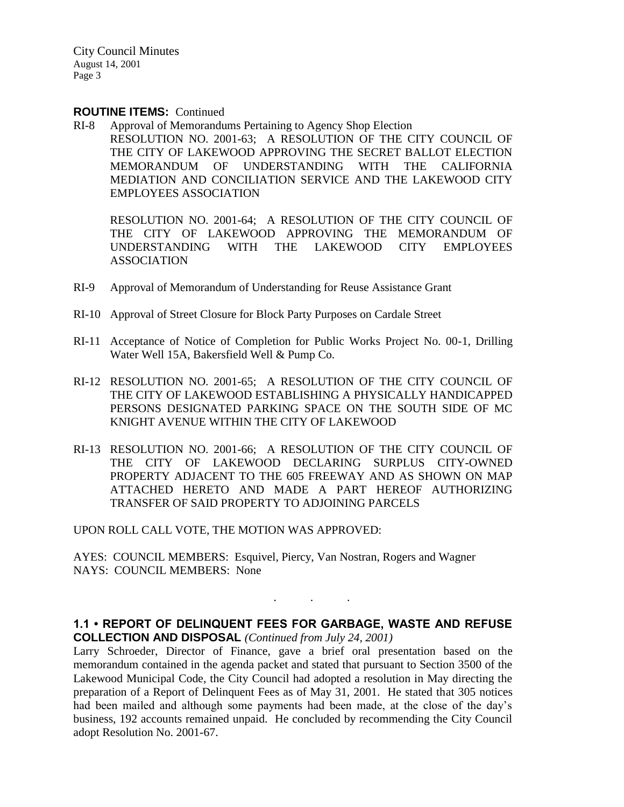#### **ROUTINE ITEMS:** Continued

RI-8 Approval of Memorandums Pertaining to Agency Shop Election RESOLUTION NO. 2001-63; A RESOLUTION OF THE CITY COUNCIL OF THE CITY OF LAKEWOOD APPROVING THE SECRET BALLOT ELECTION MEMORANDUM OF UNDERSTANDING WITH THE CALIFORNIA MEDIATION AND CONCILIATION SERVICE AND THE LAKEWOOD CITY EMPLOYEES ASSOCIATION

RESOLUTION NO. 2001-64; A RESOLUTION OF THE CITY COUNCIL OF THE CITY OF LAKEWOOD APPROVING THE MEMORANDUM OF UNDERSTANDING WITH THE LAKEWOOD CITY EMPLOYEES ASSOCIATION

- RI-9 Approval of Memorandum of Understanding for Reuse Assistance Grant
- RI-10 Approval of Street Closure for Block Party Purposes on Cardale Street
- RI-11 Acceptance of Notice of Completion for Public Works Project No. 00-1, Drilling Water Well 15A, Bakersfield Well & Pump Co.
- RI-12 RESOLUTION NO. 2001-65; A RESOLUTION OF THE CITY COUNCIL OF THE CITY OF LAKEWOOD ESTABLISHING A PHYSICALLY HANDICAPPED PERSONS DESIGNATED PARKING SPACE ON THE SOUTH SIDE OF MC KNIGHT AVENUE WITHIN THE CITY OF LAKEWOOD
- RI-13 RESOLUTION NO. 2001-66; A RESOLUTION OF THE CITY COUNCIL OF THE CITY OF LAKEWOOD DECLARING SURPLUS CITY-OWNED PROPERTY ADJACENT TO THE 605 FREEWAY AND AS SHOWN ON MAP ATTACHED HERETO AND MADE A PART HEREOF AUTHORIZING TRANSFER OF SAID PROPERTY TO ADJOINING PARCELS

UPON ROLL CALL VOTE, THE MOTION WAS APPROVED:

AYES: COUNCIL MEMBERS: Esquivel, Piercy, Van Nostran, Rogers and Wagner NAYS: COUNCIL MEMBERS: None

**1.1 • REPORT OF DELINQUENT FEES FOR GARBAGE, WASTE AND REFUSE COLLECTION AND DISPOSAL** *(Continued from July 24, 2001)*

. . .

Larry Schroeder, Director of Finance, gave a brief oral presentation based on the memorandum contained in the agenda packet and stated that pursuant to Section 3500 of the Lakewood Municipal Code, the City Council had adopted a resolution in May directing the preparation of a Report of Delinquent Fees as of May 31, 2001. He stated that 305 notices had been mailed and although some payments had been made, at the close of the day's business, 192 accounts remained unpaid. He concluded by recommending the City Council adopt Resolution No. 2001-67.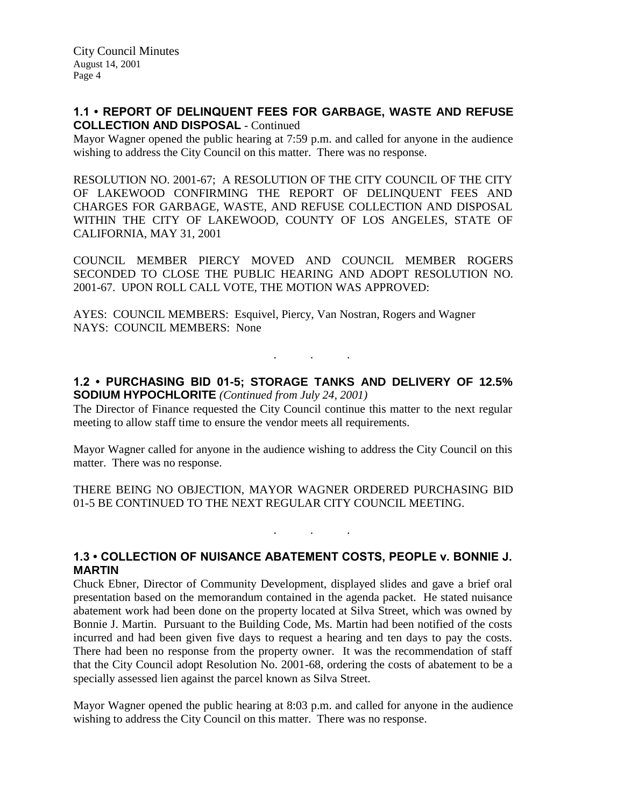## **1.1 • REPORT OF DELINQUENT FEES FOR GARBAGE, WASTE AND REFUSE COLLECTION AND DISPOSAL** - Continued

Mayor Wagner opened the public hearing at 7:59 p.m. and called for anyone in the audience wishing to address the City Council on this matter. There was no response.

RESOLUTION NO. 2001-67; A RESOLUTION OF THE CITY COUNCIL OF THE CITY OF LAKEWOOD CONFIRMING THE REPORT OF DELINQUENT FEES AND CHARGES FOR GARBAGE, WASTE, AND REFUSE COLLECTION AND DISPOSAL WITHIN THE CITY OF LAKEWOOD, COUNTY OF LOS ANGELES, STATE OF CALIFORNIA, MAY 31, 2001

COUNCIL MEMBER PIERCY MOVED AND COUNCIL MEMBER ROGERS SECONDED TO CLOSE THE PUBLIC HEARING AND ADOPT RESOLUTION NO. 2001-67. UPON ROLL CALL VOTE, THE MOTION WAS APPROVED:

AYES: COUNCIL MEMBERS: Esquivel, Piercy, Van Nostran, Rogers and Wagner NAYS: COUNCIL MEMBERS: None

## **1.2 • PURCHASING BID 01-5; STORAGE TANKS AND DELIVERY OF 12.5% SODIUM HYPOCHLORITE** *(Continued from July 24, 2001)*

. . .

The Director of Finance requested the City Council continue this matter to the next regular meeting to allow staff time to ensure the vendor meets all requirements.

Mayor Wagner called for anyone in the audience wishing to address the City Council on this matter. There was no response.

THERE BEING NO OBJECTION, MAYOR WAGNER ORDERED PURCHASING BID 01-5 BE CONTINUED TO THE NEXT REGULAR CITY COUNCIL MEETING.

. . .

# **1.3 • COLLECTION OF NUISANCE ABATEMENT COSTS, PEOPLE v. BONNIE J. MARTIN**

Chuck Ebner, Director of Community Development, displayed slides and gave a brief oral presentation based on the memorandum contained in the agenda packet. He stated nuisance abatement work had been done on the property located at Silva Street, which was owned by Bonnie J. Martin. Pursuant to the Building Code, Ms. Martin had been notified of the costs incurred and had been given five days to request a hearing and ten days to pay the costs. There had been no response from the property owner. It was the recommendation of staff that the City Council adopt Resolution No. 2001-68, ordering the costs of abatement to be a specially assessed lien against the parcel known as Silva Street.

Mayor Wagner opened the public hearing at 8:03 p.m. and called for anyone in the audience wishing to address the City Council on this matter. There was no response.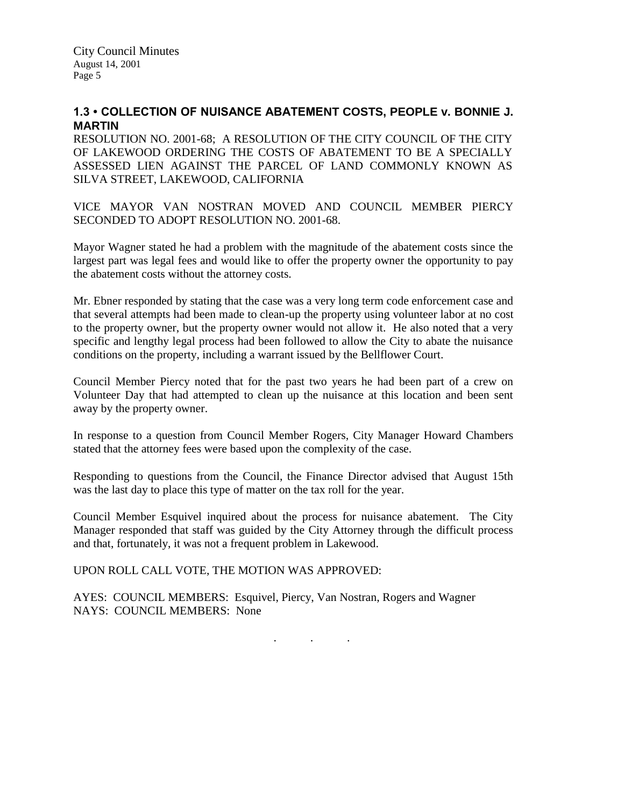# **1.3 • COLLECTION OF NUISANCE ABATEMENT COSTS, PEOPLE v. BONNIE J. MARTIN**

RESOLUTION NO. 2001-68; A RESOLUTION OF THE CITY COUNCIL OF THE CITY OF LAKEWOOD ORDERING THE COSTS OF ABATEMENT TO BE A SPECIALLY ASSESSED LIEN AGAINST THE PARCEL OF LAND COMMONLY KNOWN AS SILVA STREET, LAKEWOOD, CALIFORNIA

VICE MAYOR VAN NOSTRAN MOVED AND COUNCIL MEMBER PIERCY SECONDED TO ADOPT RESOLUTION NO. 2001-68.

Mayor Wagner stated he had a problem with the magnitude of the abatement costs since the largest part was legal fees and would like to offer the property owner the opportunity to pay the abatement costs without the attorney costs.

Mr. Ebner responded by stating that the case was a very long term code enforcement case and that several attempts had been made to clean-up the property using volunteer labor at no cost to the property owner, but the property owner would not allow it. He also noted that a very specific and lengthy legal process had been followed to allow the City to abate the nuisance conditions on the property, including a warrant issued by the Bellflower Court.

Council Member Piercy noted that for the past two years he had been part of a crew on Volunteer Day that had attempted to clean up the nuisance at this location and been sent away by the property owner.

In response to a question from Council Member Rogers, City Manager Howard Chambers stated that the attorney fees were based upon the complexity of the case.

Responding to questions from the Council, the Finance Director advised that August 15th was the last day to place this type of matter on the tax roll for the year.

Council Member Esquivel inquired about the process for nuisance abatement. The City Manager responded that staff was guided by the City Attorney through the difficult process and that, fortunately, it was not a frequent problem in Lakewood.

UPON ROLL CALL VOTE, THE MOTION WAS APPROVED:

AYES: COUNCIL MEMBERS: Esquivel, Piercy, Van Nostran, Rogers and Wagner NAYS: COUNCIL MEMBERS: None

. . .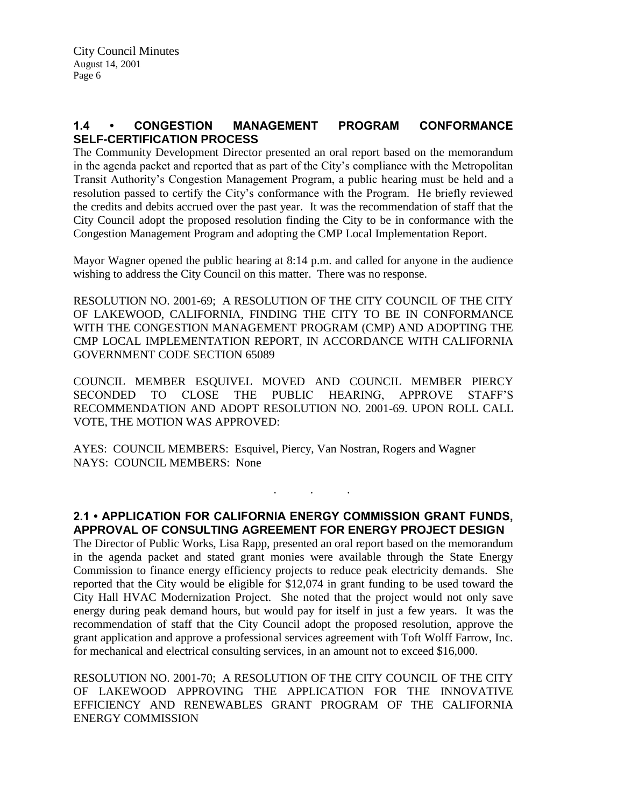# **1.4 • CONGESTION MANAGEMENT PROGRAM CONFORMANCE SELF-CERTIFICATION PROCESS**

The Community Development Director presented an oral report based on the memorandum in the agenda packet and reported that as part of the City's compliance with the Metropolitan Transit Authority's Congestion Management Program, a public hearing must be held and a resolution passed to certify the City's conformance with the Program. He briefly reviewed the credits and debits accrued over the past year. It was the recommendation of staff that the City Council adopt the proposed resolution finding the City to be in conformance with the Congestion Management Program and adopting the CMP Local Implementation Report.

Mayor Wagner opened the public hearing at 8:14 p.m. and called for anyone in the audience wishing to address the City Council on this matter. There was no response.

RESOLUTION NO. 2001-69; A RESOLUTION OF THE CITY COUNCIL OF THE CITY OF LAKEWOOD, CALIFORNIA, FINDING THE CITY TO BE IN CONFORMANCE WITH THE CONGESTION MANAGEMENT PROGRAM (CMP) AND ADOPTING THE CMP LOCAL IMPLEMENTATION REPORT, IN ACCORDANCE WITH CALIFORNIA GOVERNMENT CODE SECTION 65089

COUNCIL MEMBER ESQUIVEL MOVED AND COUNCIL MEMBER PIERCY SECONDED TO CLOSE THE PUBLIC HEARING, APPROVE STAFF'S RECOMMENDATION AND ADOPT RESOLUTION NO. 2001-69. UPON ROLL CALL VOTE, THE MOTION WAS APPROVED:

AYES: COUNCIL MEMBERS: Esquivel, Piercy, Van Nostran, Rogers and Wagner NAYS: COUNCIL MEMBERS: None

# **2.1 • APPLICATION FOR CALIFORNIA ENERGY COMMISSION GRANT FUNDS, APPROVAL OF CONSULTING AGREEMENT FOR ENERGY PROJECT DESIGN**

. . .

The Director of Public Works, Lisa Rapp, presented an oral report based on the memorandum in the agenda packet and stated grant monies were available through the State Energy Commission to finance energy efficiency projects to reduce peak electricity demands. She reported that the City would be eligible for \$12,074 in grant funding to be used toward the City Hall HVAC Modernization Project. She noted that the project would not only save energy during peak demand hours, but would pay for itself in just a few years. It was the recommendation of staff that the City Council adopt the proposed resolution, approve the grant application and approve a professional services agreement with Toft Wolff Farrow, Inc. for mechanical and electrical consulting services, in an amount not to exceed \$16,000.

RESOLUTION NO. 2001-70; A RESOLUTION OF THE CITY COUNCIL OF THE CITY OF LAKEWOOD APPROVING THE APPLICATION FOR THE INNOVATIVE EFFICIENCY AND RENEWABLES GRANT PROGRAM OF THE CALIFORNIA ENERGY COMMISSION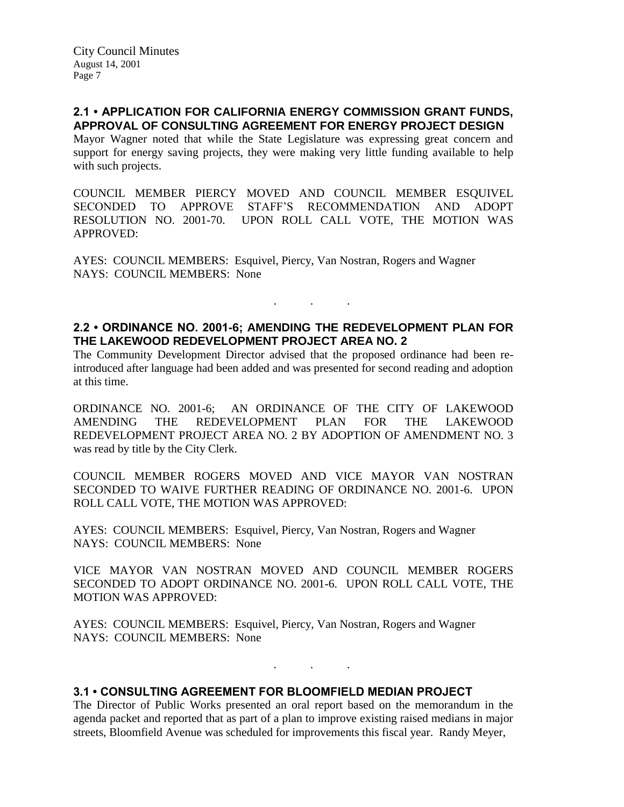# **2.1 • APPLICATION FOR CALIFORNIA ENERGY COMMISSION GRANT FUNDS, APPROVAL OF CONSULTING AGREEMENT FOR ENERGY PROJECT DESIGN**

Mayor Wagner noted that while the State Legislature was expressing great concern and support for energy saving projects, they were making very little funding available to help with such projects.

COUNCIL MEMBER PIERCY MOVED AND COUNCIL MEMBER ESQUIVEL SECONDED TO APPROVE STAFF'S RECOMMENDATION AND ADOPT RESOLUTION NO. 2001-70. UPON ROLL CALL VOTE, THE MOTION WAS APPROVED:

AYES: COUNCIL MEMBERS: Esquivel, Piercy, Van Nostran, Rogers and Wagner NAYS: COUNCIL MEMBERS: None

# **2.2 • ORDINANCE NO. 2001-6; AMENDING THE REDEVELOPMENT PLAN FOR THE LAKEWOOD REDEVELOPMENT PROJECT AREA NO. 2**

. . .

The Community Development Director advised that the proposed ordinance had been reintroduced after language had been added and was presented for second reading and adoption at this time.

ORDINANCE NO. 2001-6; AN ORDINANCE OF THE CITY OF LAKEWOOD AMENDING THE REDEVELOPMENT PLAN FOR THE LAKEWOOD REDEVELOPMENT PROJECT AREA NO. 2 BY ADOPTION OF AMENDMENT NO. 3 was read by title by the City Clerk.

COUNCIL MEMBER ROGERS MOVED AND VICE MAYOR VAN NOSTRAN SECONDED TO WAIVE FURTHER READING OF ORDINANCE NO. 2001-6. UPON ROLL CALL VOTE, THE MOTION WAS APPROVED:

AYES: COUNCIL MEMBERS: Esquivel, Piercy, Van Nostran, Rogers and Wagner NAYS: COUNCIL MEMBERS: None

VICE MAYOR VAN NOSTRAN MOVED AND COUNCIL MEMBER ROGERS SECONDED TO ADOPT ORDINANCE NO. 2001-6. UPON ROLL CALL VOTE, THE MOTION WAS APPROVED:

AYES: COUNCIL MEMBERS: Esquivel, Piercy, Van Nostran, Rogers and Wagner NAYS: COUNCIL MEMBERS: None

## **3.1 • CONSULTING AGREEMENT FOR BLOOMFIELD MEDIAN PROJECT**

The Director of Public Works presented an oral report based on the memorandum in the agenda packet and reported that as part of a plan to improve existing raised medians in major streets, Bloomfield Avenue was scheduled for improvements this fiscal year. Randy Meyer,

. . .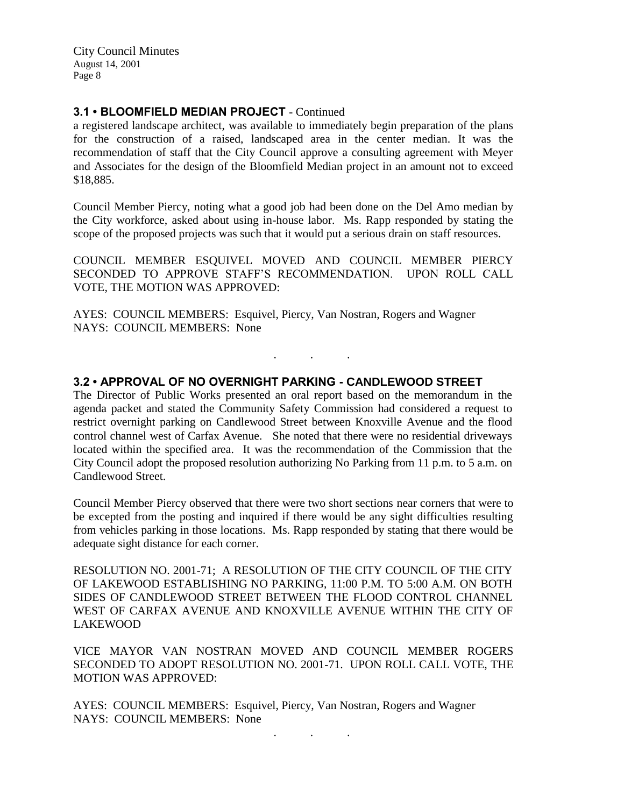## **3.1 • BLOOMFIELD MEDIAN PROJECT** - Continued

a registered landscape architect, was available to immediately begin preparation of the plans for the construction of a raised, landscaped area in the center median. It was the recommendation of staff that the City Council approve a consulting agreement with Meyer and Associates for the design of the Bloomfield Median project in an amount not to exceed \$18,885.

Council Member Piercy, noting what a good job had been done on the Del Amo median by the City workforce, asked about using in-house labor. Ms. Rapp responded by stating the scope of the proposed projects was such that it would put a serious drain on staff resources.

COUNCIL MEMBER ESQUIVEL MOVED AND COUNCIL MEMBER PIERCY SECONDED TO APPROVE STAFF'S RECOMMENDATION. UPON ROLL CALL VOTE, THE MOTION WAS APPROVED:

. . .

AYES: COUNCIL MEMBERS: Esquivel, Piercy, Van Nostran, Rogers and Wagner NAYS: COUNCIL MEMBERS: None

#### **3.2 • APPROVAL OF NO OVERNIGHT PARKING - CANDLEWOOD STREET**

The Director of Public Works presented an oral report based on the memorandum in the agenda packet and stated the Community Safety Commission had considered a request to restrict overnight parking on Candlewood Street between Knoxville Avenue and the flood control channel west of Carfax Avenue. She noted that there were no residential driveways located within the specified area. It was the recommendation of the Commission that the City Council adopt the proposed resolution authorizing No Parking from 11 p.m. to 5 a.m. on Candlewood Street.

Council Member Piercy observed that there were two short sections near corners that were to be excepted from the posting and inquired if there would be any sight difficulties resulting from vehicles parking in those locations. Ms. Rapp responded by stating that there would be adequate sight distance for each corner.

RESOLUTION NO. 2001-71; A RESOLUTION OF THE CITY COUNCIL OF THE CITY OF LAKEWOOD ESTABLISHING NO PARKING, 11:00 P.M. TO 5:00 A.M. ON BOTH SIDES OF CANDLEWOOD STREET BETWEEN THE FLOOD CONTROL CHANNEL WEST OF CARFAX AVENUE AND KNOXVILLE AVENUE WITHIN THE CITY OF LAKEWOOD

VICE MAYOR VAN NOSTRAN MOVED AND COUNCIL MEMBER ROGERS SECONDED TO ADOPT RESOLUTION NO. 2001-71. UPON ROLL CALL VOTE, THE MOTION WAS APPROVED:

. . .

AYES: COUNCIL MEMBERS: Esquivel, Piercy, Van Nostran, Rogers and Wagner NAYS: COUNCIL MEMBERS: None